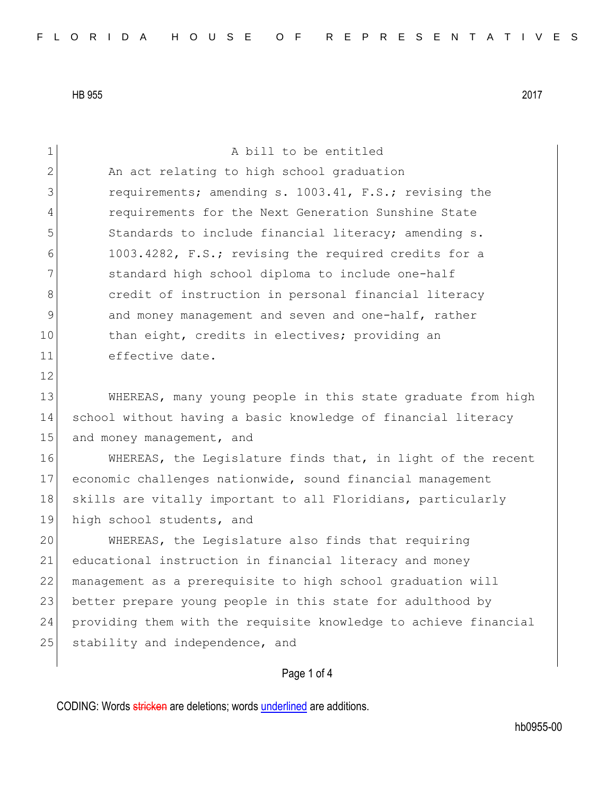| $\mathbf 1$  | A bill to be entitled                                            |
|--------------|------------------------------------------------------------------|
| $\mathbf{2}$ | An act relating to high school graduation                        |
| 3            | requirements; amending s. 1003.41, F.S.; revising the            |
| 4            | requirements for the Next Generation Sunshine State              |
| 5            | Standards to include financial literacy; amending s.             |
| 6            | 1003.4282, F.S.; revising the required credits for a             |
| 7            | standard high school diploma to include one-half                 |
| 8            | credit of instruction in personal financial literacy             |
| 9            | and money management and seven and one-half, rather              |
| 10           | than eight, credits in electives; providing an                   |
| 11           | effective date.                                                  |
| 12           |                                                                  |
| 13           | WHEREAS, many young people in this state graduate from high      |
| 14           | school without having a basic knowledge of financial literacy    |
| 15           | and money management, and                                        |
| 16           | WHEREAS, the Legislature finds that, in light of the recent      |
| 17           | economic challenges nationwide, sound financial management       |
| 18           | skills are vitally important to all Floridians, particularly     |
| 19           | high school students, and                                        |
| 20           | WHEREAS, the Legislature also finds that requiring               |
| 21           | educational instruction in financial literacy and money          |
| 22           | management as a prerequisite to high school graduation will      |
| 23           | better prepare young people in this state for adulthood by       |
| 24           | providing them with the requisite knowledge to achieve financial |
| 25           | stability and independence, and                                  |
|              |                                                                  |
|              | Page 1 of 4                                                      |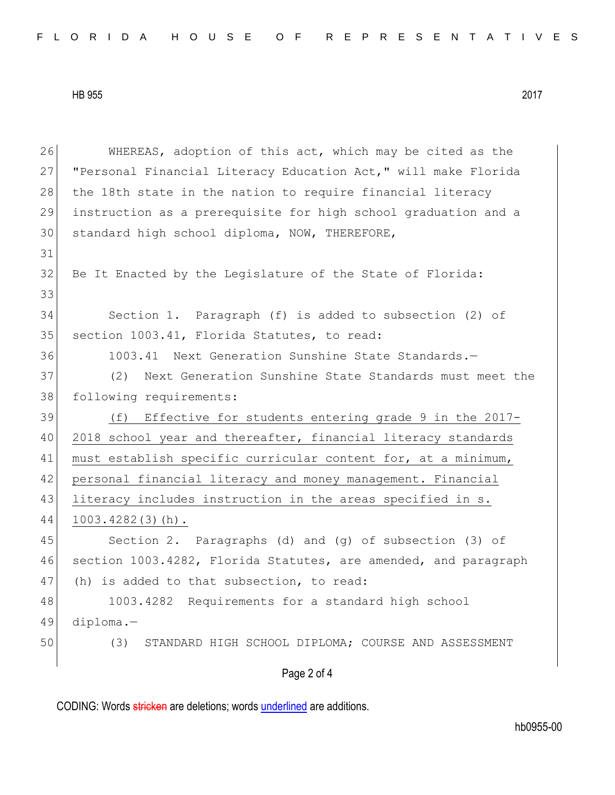Page 2 of 4 26 WHEREAS, adoption of this act, which may be cited as the 27 "Personal Financial Literacy Education Act," will make Florida 28 the 18th state in the nation to require financial literacy 29 instruction as a prerequisite for high school graduation and a 30 standard high school diploma, NOW, THEREFORE, 31 32 Be It Enacted by the Legislature of the State of Florida: 33 34 Section 1. Paragraph (f) is added to subsection (2) of 35 section 1003.41, Florida Statutes, to read: 36 1003.41 Next Generation Sunshine State Standards.-37 (2) Next Generation Sunshine State Standards must meet the 38 following requirements: 39 (f) Effective for students entering grade 9 in the 2017- 40 2018 school year and thereafter, financial literacy standards 41 must establish specific curricular content for, at a minimum, 42 personal financial literacy and money management. Financial 43 literacy includes instruction in the areas specified in s. 44 1003.4282(3)(h). 45 Section 2. Paragraphs (d) and (g) of subsection (3) of 46 section 1003.4282, Florida Statutes, are amended, and paragraph 47 (h) is added to that subsection, to read: 48 1003.4282 Requirements for a standard high school 49 diploma.— 50 (3) STANDARD HIGH SCHOOL DIPLOMA; COURSE AND ASSESSMENT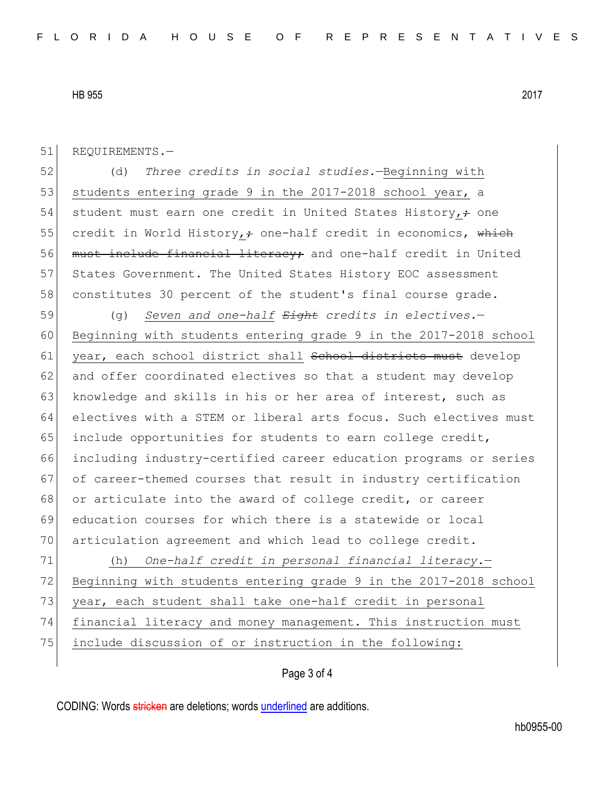51 REQUIREMENTS.-

52 (d) *Three credits in social studies.*—Beginning with 53 students entering grade 9 in the 2017-2018 school year, a 54 student must earn one credit in United States History, $\div$  one 55 credit in World History,  $\div$  one-half credit in economics, which 56 must include financial literacy; and one-half credit in United 57 States Government. The United States History EOC assessment 58 constitutes 30 percent of the student's final course grade.

59 (g) *Seven and one-half Eight credits in electives.*— 60 Beginning with students entering grade 9 in the 2017-2018 school 61 year, each school district shall sehool districts must develop 62 and offer coordinated electives so that a student may develop 63 knowledge and skills in his or her area of interest, such as 64 electives with a STEM or liberal arts focus. Such electives must 65 include opportunities for students to earn college credit, 66 including industry-certified career education programs or series 67 of career-themed courses that result in industry certification 68 or articulate into the award of college credit, or career 69 education courses for which there is a statewide or local 70 articulation agreement and which lead to college credit.

71 (h) *One-half credit in personal financial literacy.*— 72 Beginning with students entering grade 9 in the 2017-2018 school 73 year, each student shall take one-half credit in personal 74 financial literacy and money management. This instruction must 75 include discussion of or instruction in the following:

## Page 3 of 4